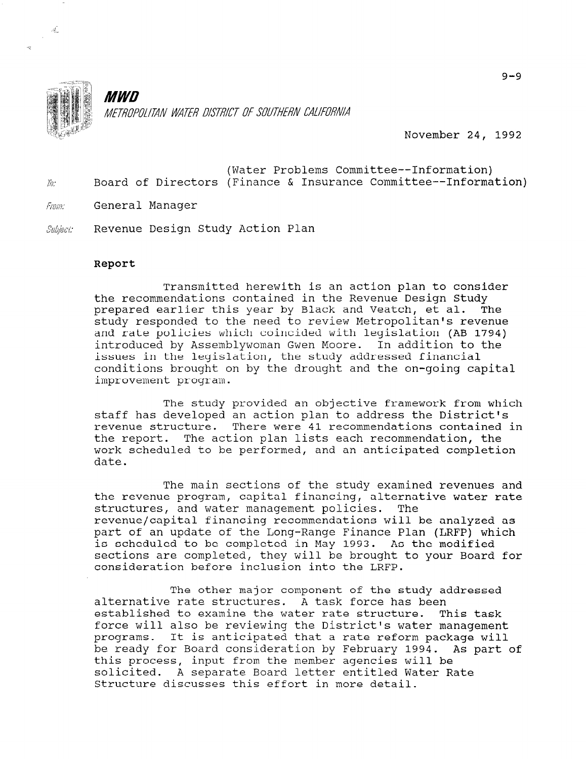

 $\mathcal{A}$  $\mathcal{L}_{\mathrm{eff}}$ 

> **MWD** METROPOLITAN WATER DISTRICT OF SOUTHERN CALIFORNIA

> > November 24, 1992

- (Water Problems Committee--Information)  $\bar{m}$ Board of Directors (Finance & Insurance Committee--Information)
- From: General Manager
- Subject: Revenue Design Study Action Plan

## Report

Transmitted herewith is an action plan to consider the recommendations contained in the Revenue Design Study prepared earlier this year by Black and Veatch, et al. The study responded to the need to review Metropolitan's revenue and rate policies which coincided with legislation (AB 1794) introduced by Assemblywoman Gwen Moore. In addition to the issues in the legislation, the study addressed financial conditions brought on by the drought and the on-going capital improvement program.

The study provided an objective framework from which staff has developed an action plan to address the District's revenue structure. There were 41 recommendations contained in the report. The action plan lists each recommendation, the work scheduled to be performed, and an anticipated completion date.

The main sections of the study examined revenues and the revenue program, capital financing, alternative water rate structures, and water management policies. The revenue/capital financing recommendations will be analyzed as part of an update of the Long-Range Finance Plan (LRFP) which is scheduled to be completed in May 1993. As the modified sections are completed, they will be brought to your Board for consideration before inclusion into the LRFP.

The other major component of the study addressed alternative rate structures. A task force has been alternative tale structures. A case force has been established to examine the water rate structure. This tas programs. It is that is a reviewing the precision is water management programs. It is anticipated that a rate reform package will be ready for Board consideration by February 1994. As part of this process, input from the member agencies will be solicited. A separate Board letter entitled Water Rate<br>Structure discusses this effort in more detail.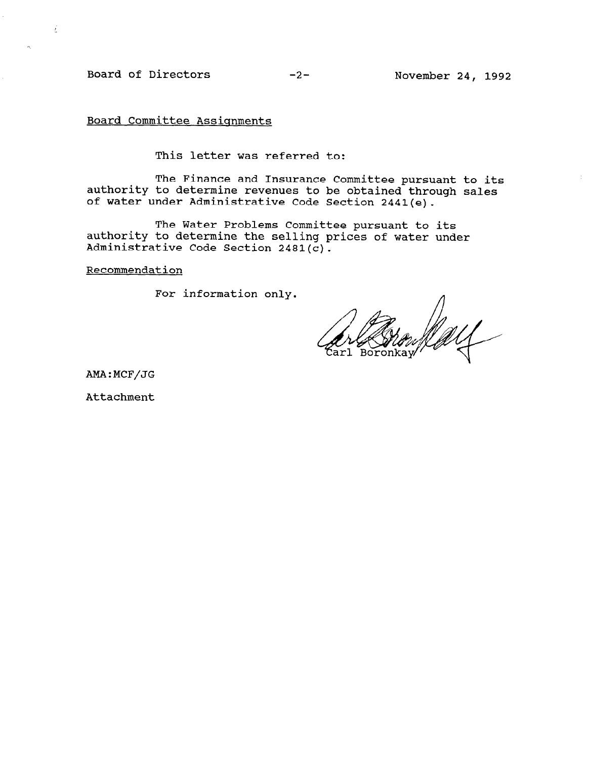Board of Directors -2- November 24, 1992

 $\vec{z}$ 

Board Committee Assignments

This letter was referred to:

The Finance and Insurance Committee pursuant to its authority to determine revenues to be obtained through sales of water under Administrative Code Section 2441(e).

The Water Problems Committee pursuant to its authority to determine the selling prices of water under Administrative Code Section 2481(c).

Recommendation

For information only.

AMA:MCF/JG

Attachment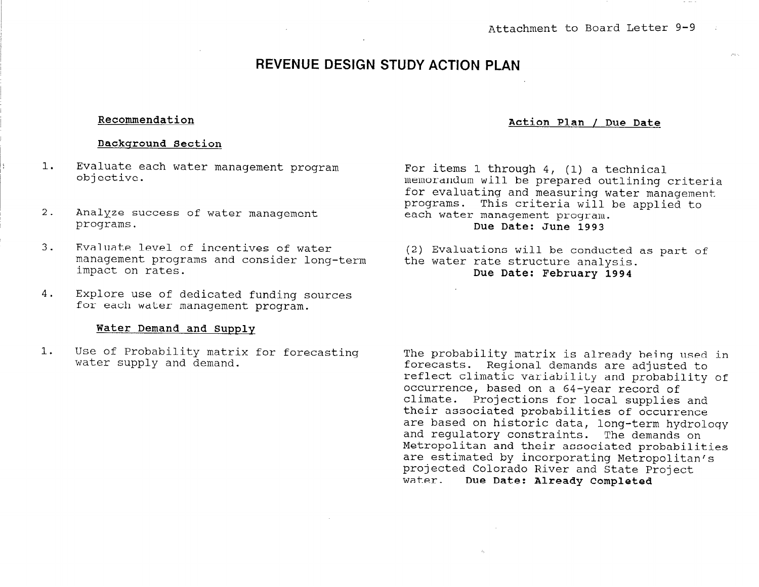As a

# REVENUE DESIGN STUDY ACTION PLAN

## Recommendation

 $\mathcal{V}$ I

## Backqround Section

- 1. Evaluate each water management program objective.
- 2. Analyze success of water management programs.
- 3. Evaluate level of incentives of water management programs and consider long-term impact on rates.
- 4. Explore use of dedicated funding sources for each water management program.

## Water Demand and Supply

1. Use of Probability matrix for forecasting water supply and demand.

Action Plan / Due Date

For items 1 through 4, (1) a technical memorandum will be prepared outlining criteria for evaluating and measuring water management programs. This criteria will be applied to each water management program. Due Date: June 1993

(2) Evaluations will be conducted as part of the water rate structure analysis. Due Date: February 1994

The probability matrix is already being used in forecasts. Regional demands are adjusted to reflect climatic variability and probability of occurrence, based on a G4-year record of climate. Projections for local supplies and their associated probabilities of occurrence are based on historic data, long-term hydrology and regulatory constraints. The demands on Metropolitan and their associated probabilities are estimated by incorporating Metropolitan's projected Colorado River and State Project water. Due Date: Already Completed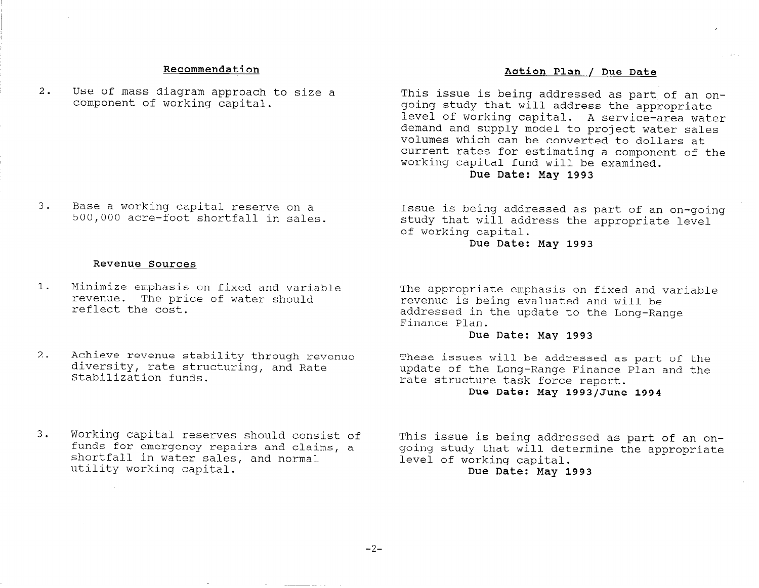## Recommendation

2. Use of mass diagram approach to size a component of working capital.

3. Base a working capital reserve on a

Action Plan / Due Date

This issue is being addressed as part of an ongoing study that will address the appropriate level of working capital. A service-area water demand and supply model to project water sales volumes which can be converted to dollars at current rates for estimating a component of the working capital fund will be examined.

# Due Date: May 1993

Issue is being addressed as part of an on-going study that will address the appropriate level of working capital.

## Due Date: May 1993

- Revenue Sources
- 1. Minimize emphasis on fixed and variable revenue. The price of water should reflect the cost.

500,000 acre-foot shortfall in sales.

- 2. Achieve revenue stability through revenue diversity, rate structuring, and Rate Stabilization funds.
- 3. Working capital reserves should consist of funds for emergency repairs and claims, a shortfall in water sales, and normal utility working capital.

The appropriate emphasis on fixed and variable revenue is being evaluated and will be addressed in the update to the Long-Range Finance Plan.

# Due Date: May 1993

These issues will be addressed as part of the update of the Long-Range Finance Plan and the rate structure task force report.

## Due Date: May 1993/June 1994

This issue is being addressed as part of an ongoing study that will determine the appropriate level of working capital.

Due Date: May 1993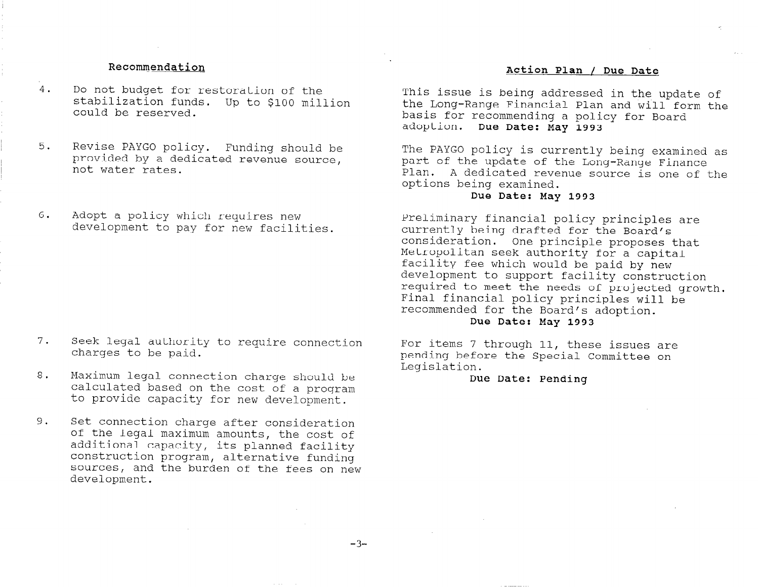- 4. Do not budget for restoration of the stabilization funds. Up to \$100 million could be reserved.
- 5. Revise PAYGO policy. Funding should be provided by a dedicated revenue source, not water rates.
- 6. Adopt a policy which requires new development to pay for new facilities.

- 7. Seek legal authority to require connection charges to be paid.
- 8. Maximum legal connection charge should be calculated based on the cost of a program to provide capacity for new development.
- 9. Set connection charge after consideration of the legal maximum amounts, the cost of additional capacity, its planned facility construction program, alternative funding sources, and the burden of the fees on new development.

 $-3-$ 

# Recommendation **Action Action Plan** / Due Date

This issue is being addressed in the update of the Long-Range Financial Plan and will form the basis for recommending a policy for Board adoption. Due Date: May 1993

The PAYGO policy is currently being examined as part of the update of the Long-Range Finance Plan. A dedicated revenue source is one of the options being examined.

## Due Date: May 1993

Preliminary financial policy principles are currently being drafted for the Board's consideration. One principle proposes that Metropolitan seek authority for a capital facility fee which would be paid by new development to support facility construction required to meet the needs of projected growth. Final financial policy principles will be recommended for the Board's adoption.

Due Date: May 1993

For items 7 through 11, these issues are pending before the Special Committee on Legislation.

#### Due Date: Pending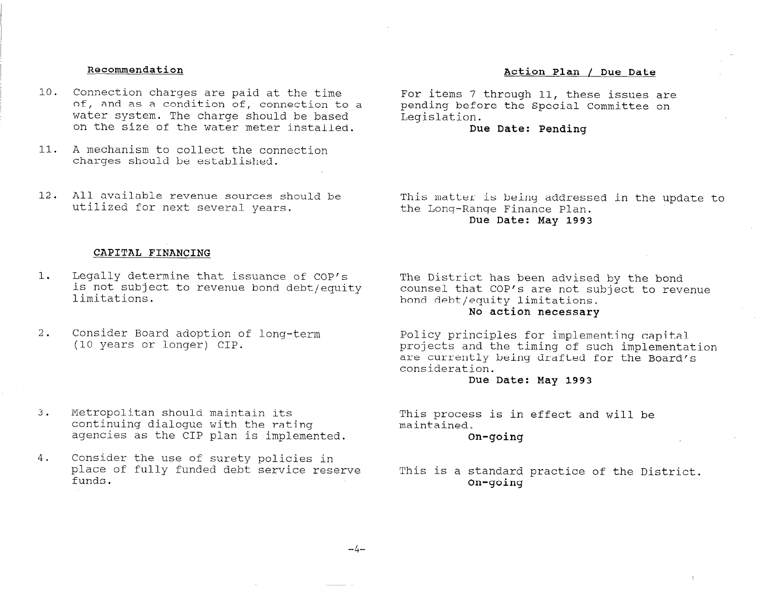- 10. Connection charges are paid at the time of, and as a condition of, connection to a water system. The charge should be based on the size of the water meter installed.
- 11. A mechanism to collect the connection charges should be established.
- 12. All available revenue sources should be utilized for next several years.

# Recommendation **Recommendation Action Plan** / Due Date

For items 7 through 11, these issues are pending before the Special Committee on Legislation.

### Due Date: Pending

This matter is being addressed in the update to the Long-Range Finance Plan. Due Date: May 1993

### CAPITAL FINANCING

- 1. Legally determine that issuance of COP's is not subject to revenue bond debt/equity limitations.
- 2. Consider Board adoption of long-term (10 years or longer) CIP.

The District has been advised by the bond counsel that COP's are not subject to revenue bond debt/equity limitations.

# No action necessary

Policy principles for implementing capital projects and the timing of such implementation are currently being drafted for the Board's consideration.

## Due Date: May 1993

This process is in effect and will be maintained.

### On-going

- This is a standard practice of the District. On-going
- 3. Metropolitan should maintain its continuing dialogue with the rating agencies as the CIP plan is implemented.
- 4. Consider the use of surety policies in place of fully funded debt service reserve funds.

 $-4-$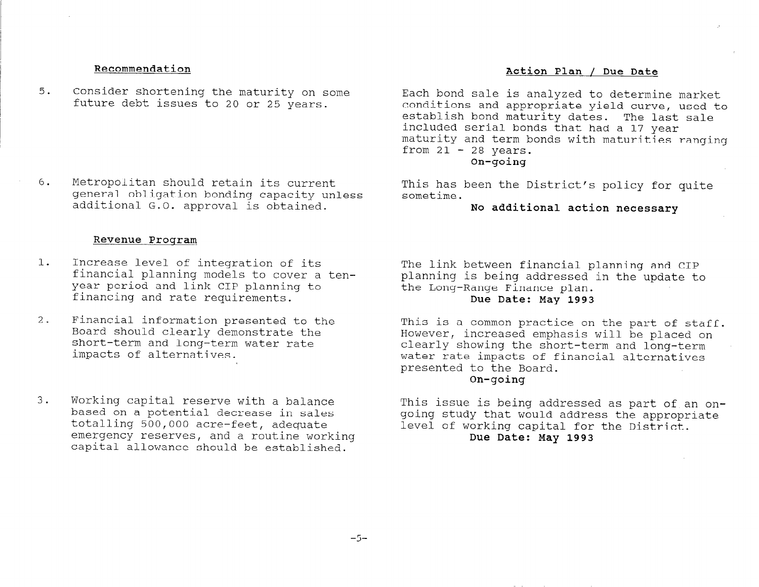5. Consider shortening the maturity on some future debt issues to 20 or 25 years.

6. Metropolitan should retain its current general obligation bonding capacity unless additional G.O. approval is obtained.

## Revenue Proqram

- 1. Increase level of integration of its financial planning models to cover a tenyear period and link CIP planning to financing and rate requirements.
- 2. Financial information presented to the Board should clearly demonstrate the short-term and long-term water rate impacts of alternatives.
- 3. Working capital reserve with a balance based on a potential decrease in sales totalling 500,000 acre-feet, adequate emergency reserves, and a routine working capital allowance should be established.

# Recommendation **Recommendation Action Plan** / Due Date

Each bond sale is analyzed to determine market conditions and appropriate yield curve, used to establish bond maturity dates. The last sale included serial bonds that had a 17 year maturity and term bonds with maturities ranging from  $21 - 28$  years.

On-going

This has been the District's policy for quite sometime.

# No additional action necessary

The link between financial planning and CIP planning is being addressed in the update to the Long-Range Finance plan.

# Due Date: May 1993

This is a common practice on the part of staff. However, increased emphasis will be placed on clearly showing the short-term and long-term water rate impacts of financial alternatives presented to the Board.

### On-going

This issue is being addressed as part of an ongoing study that would address the appropriate level of working capital for the District. Due Date: May 1993

 $-5-$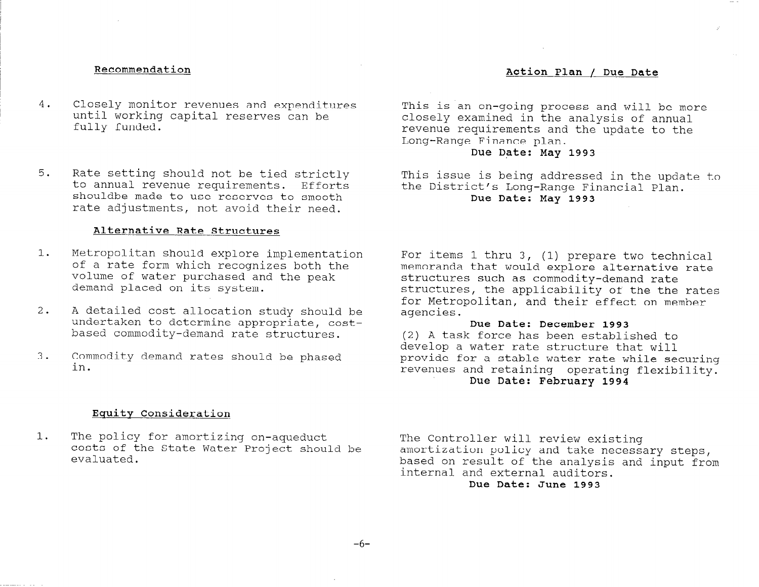- 4. Closely monitor revenues and expenditures until working capital reserves can be fully funded.
- 5. Rate setting should not be tied strictly to annual revenue requirements. Efforts shouldbe made to use reserves to smooth rate adjustments, not avoid their need.

## Alternative Rate Structures

- 1. Metropolitan should explore implementation of a rate form which recognizes both the volume of water purchased and the peak demand placed on its system.
- 2. A detailed cost allocation study should be undertaken to determine appropriate, costbased commodity-demand rate structures.
- 3. Commodity demand rates should be phased in.

# Recommendation **Recommendation Action Plan** / Due Date

This is an on-going process and will be more closely examined in the analysis of annual revenue requirements and the update to the Long-Range Finance plan.

## Due Date: May 1993

This issue is being addressed in the update to the District's Long-Range Financial Plan. Due Date: May 1993

For items 1 thru 3, (1) prepare two technical memoranda that would explore alternative rate structures such as commodity-demand rate structures, the applicability of the the rates for Metropolitan, and their effect on member agencies.

#### Due Date: December 1993

(2) A task force has been established to develop a water rate structure that will provide for a stable water rate while securing revenues and retaining operating flexibility. Due Date: February 1994

## Equity Consideration

1. The policy for amortizing on-aqueduct costs of the State Water Project should be evaluated.

The Controller will review existing amortization policy and take necessary steps, based on result of the analysis and input from internal and external auditors.

Due Date: June 1993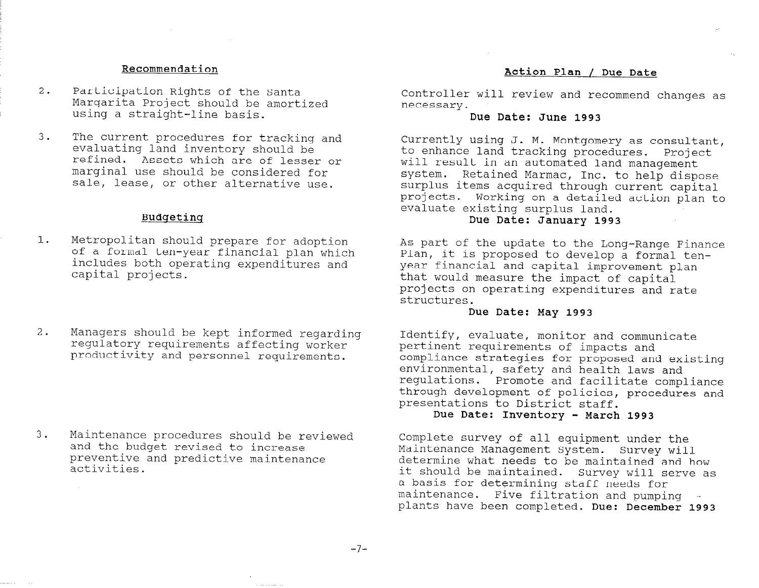- 2. Participation Rights of the Santa Margarita Project should be amortized using a straight-line basis.
- 3. The current procedures for tracking and evaluating land inventory should be refined. Assets which are of lesser or marginal use should be considered for sale, lease, or other alternative use.

## Budqetinq

- 1. Metropolitan should prepare for adoption of a formal ten-year financial plan which includes both operating expenditures and capital projects.
- 2. Managers should be kept informed regarding regulatory requirements affecting worker productivity and personnel requirements.

3. Maintenance procedures should be reviewed and the budget revised to increase preventive and predictive maintenance activities.

# Recommendation **Recommendation Action Plan** / Due Date

Controller will review and recommend changes as necessary.

## Due Date: June 1993

Currently using J. M. Montgomery as consultant, to enhance land tracking procedures. Project will result in an automated land management system. Retained Marmac, Inc. to help dispose surplus items acquired through current capital projects. Working on a detailed action plan to evaluate existing surplus land.

## Due Date: January 1993

As part of the update to the Long-Range Finance Plan, it is proposed to develop a formal tenyear financial and capital improvement plan that would measure the impact of capital projects on operating expenditures and rate structures.

## Due Date: May 1993

Identify, evaluate, monitor and communicate pertinent requirements of impacts and compliance strategies for proposed and existing environmental, safety and health laws and regulations. Promote and facilitate compliance through development of policies, procedures and presentations to District staff.

# Due Date: Inventory - March 1993

Complete survey of all equipment under the Maintenance Management System. Survey will determine what needs to be maintained and how it should be maintained. Survey will serve as a basis for determining staff needs for maintenance. Five filtration and pumping plants have been completed. Due: December 1993